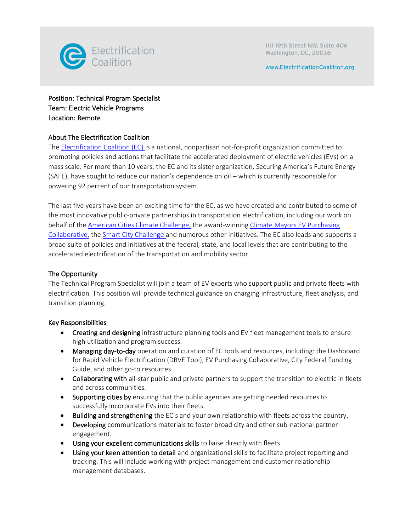

www.ElectrificationCoalition.org

# Position: Technical Program Specialist Team: Electric Vehicle Programs Location: Remote

### About The Electrification Coalition

The [Electrification Coalition \(EC\) i](https://www.electrificationcoalition.org/)s a national, nonpartisan not-for-profit organization committed to promoting policies and actions that facilitate the accelerated deployment of electric vehicles (EVs) on a mass scale. For more than 10 years, the EC and its sister organization, Securing America's Future Energy (SAFE), have sought to reduce our nation's dependence on oil – which is currently responsible for powering 92 percent of our transportation system.

The last five years have been an exciting time for the EC, as we have created and contributed to some of the most innovative public-private partnerships in transportation electrification, including our work on behalf of the [American Cities Climate Challenge,](https://www.bloomberg.org/program/environment/climatechallenge/) the award-winnin[g Climate Mayors EV Purchasing](https://driveevfleets.org/)  [Collaborative,](https://driveevfleets.org/) the [Smart City Challenge a](https://www.transportation.gov/smartcity)nd numerous other initiatives. The EC also leads and supports a broad suite of policies and initiatives at the federal, state, and local levels that are contributing to the accelerated electrification of the transportation and mobility sector.

### The Opportunity

The Technical Program Specialist will join a team of EV experts who support public and private fleets with electrification. This position will provide technical guidance on charging infrastructure, fleet analysis, and transition planning.

### Key Responsibilities

- Creating and designing infrastructure planning tools and EV fleet management tools to ensure high utilization and program success.
- Managing day-to-day operation and curation of EC tools and resources, including: the Dashboard for Rapid Vehicle Electrification (DRVE Tool), EV Purchasing Collaborative, City Federal Funding Guide, and other go-to resources.
- Collaborating with all-star public and private partners to support the transition to electric in fleets and across communities.
- Supporting cities by ensuring that the public agencies are getting needed resources to successfully incorporate EVs into their fleets.
- Building and strengthening the EC's and your own relationship with fleets across the country.
- Developing communications materials to foster broad city and other sub-national partner engagement.
- Using your excellent communications skills to liaise directly with fleets.
- Using your keen attention to detail and organizational skills to facilitate project reporting and tracking. This will include working with project management and customer relationship management databases.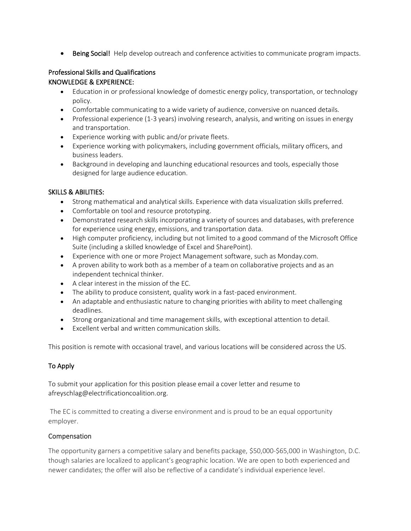• Being Social! Help develop outreach and conference activities to communicate program impacts.

# Professional Skills and Qualifications

## KNOWLEDGE & EXPERIENCE:

- Education in or professional knowledge of domestic energy policy, transportation, or technology policy.
- Comfortable communicating to a wide variety of audience, conversive on nuanced details.
- Professional experience (1-3 years) involving research, analysis, and writing on issues in energy and transportation.
- Experience working with public and/or private fleets.
- Experience working with policymakers, including government officials, military officers, and business leaders.
- Background in developing and launching educational resources and tools, especially those designed for large audience education.

## SKILLS & ABILITIES:

- Strong mathematical and analytical skills. Experience with data visualization skills preferred.
- Comfortable on tool and resource prototyping.
- Demonstrated research skills incorporating a variety of sources and databases, with preference for experience using energy, emissions, and transportation data.
- High computer proficiency, including but not limited to a good command of the Microsoft Office Suite (including a skilled knowledge of Excel and SharePoint).
- Experience with one or more Project Management software, such as Monday.com.
- A proven ability to work both as a member of a team on collaborative projects and as an independent technical thinker.
- A clear interest in the mission of the EC.
- The ability to produce consistent, quality work in a fast-paced environment.
- An adaptable and enthusiastic nature to changing priorities with ability to meet challenging deadlines.
- Strong organizational and time management skills, with exceptional attention to detail.
- Excellent verbal and written communication skills.

This position is remote with occasional travel, and various locations will be considered across the US.

# To Apply

To submit your application for this position please email a cover letter and resume to afreyschlag@electrificationcoalition.org.

The EC is committed to creating a diverse environment and is proud to be an equal opportunity employer.

# Compensation

The opportunity garners a competitive salary and benefits package, \$50,000-\$65,000 in Washington, D.C. though salaries are localized to applicant's geographic location. We are open to both experienced and newer candidates; the offer will also be reflective of a candidate's individual experience level.